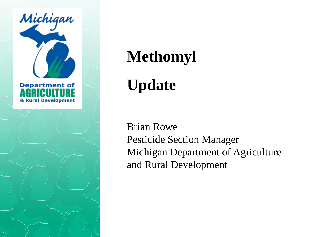

**Update**

Brian Rowe Pesticide Section Manager Michigan Department of Agriculture and Rural Development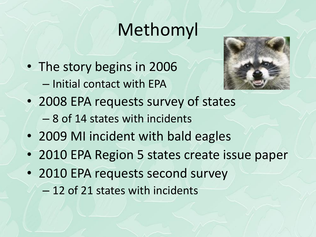- The story begins in 2006
	- Initial contact with EPA



- 2008 EPA requests survey of states – 8 of 14 states with incidents
- 2009 MI incident with bald eagles
- 2010 EPA Region 5 states create issue paper
- 2010 EPA requests second survey
	- 12 of 21 states with incidents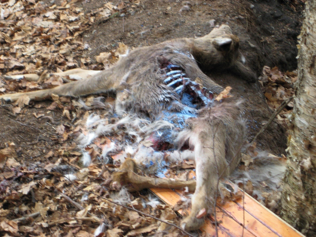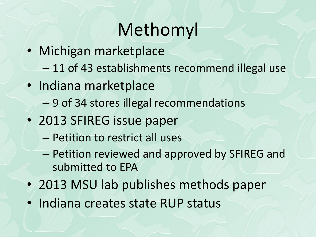- Michigan marketplace
	- 11 of 43 establishments recommend illegal use
- Indiana marketplace
	- 9 of 34 stores illegal recommendations
- 2013 SFIREG issue paper
	- Petition to restrict all uses
	- Petition reviewed and approved by SFIREG and submitted to EPA
- 2013 MSU lab publishes methods paper
- Indiana creates state RUP status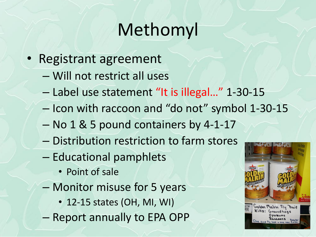- Registrant agreement
	- Will not restrict all uses
	- Label use statement "It is illegal…" 1-30-15
	- Icon with raccoon and "do not" symbol 1-30-15
	- No 1 & 5 pound containers by 4-1-17
	- Distribution restriction to farm stores
	- Educational pamphlets
		- Point of sale
	- Monitor misuse for 5 years
		- 12-15 states (OH, MI, WI)
	- Report annually to EPA OPP

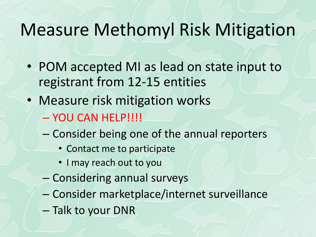# Measure Methomyl Risk Mitigation

- POM accepted MI as lead on state input to registrant from 12-15 entities
- Measure risk mitigation works
	- YOU CAN HELP!!!!
	- Consider being one of the annual reporters
		- Contact me to participate
		- I may reach out to you
	- Considering annual surveys
	- Consider marketplace/internet surveillance
	- Talk to your DNR